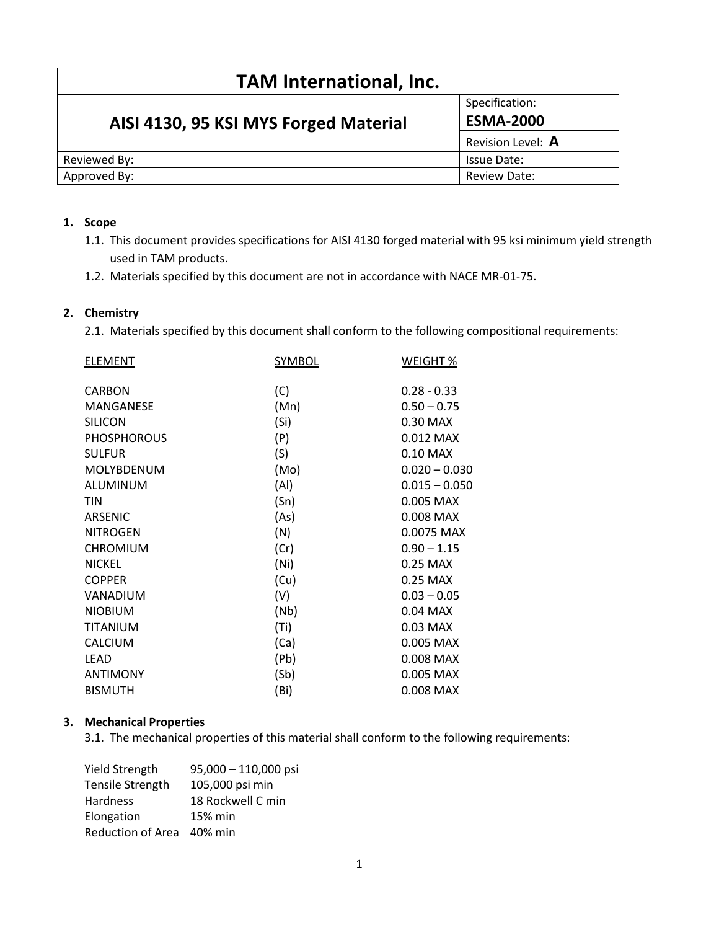| <b>TAM International, Inc.</b>        |                   |  |  |
|---------------------------------------|-------------------|--|--|
| AISI 4130, 95 KSI MYS Forged Material | Specification:    |  |  |
|                                       | <b>ESMA-2000</b>  |  |  |
|                                       | Revision Level: A |  |  |
| Reviewed By:                          | Issue Date:       |  |  |
| Approved By:                          | Review Date:      |  |  |

# 1. Scope

- 1.1. This document provides specifications for AISI 4130 forged material with 95 ksi minimum yield strength used in TAM products.
- 1.2. Materials specified by this document are not in accordance with NACE MR-01-75.

# 2. Chemistry

2.1. Materials specified by this document shall conform to the following compositional requirements:

| SYMBOL            | WEIGHT %        |  |
|-------------------|-----------------|--|
| (C)               | $0.28 - 0.33$   |  |
| (Mn)              | $0.50 - 0.75$   |  |
| (Si)              | 0.30 MAX        |  |
| (P)               | 0.012 MAX       |  |
| (S)               | 0.10 MAX        |  |
| (Mo)              | $0.020 - 0.030$ |  |
| (AI)              | $0.015 - 0.050$ |  |
| (Sn)              | 0.005 MAX       |  |
| (As)              | 0.008 MAX       |  |
| (N)               | 0.0075 MAX      |  |
| (Cr)              | $0.90 - 1.15$   |  |
| (Ni)              | 0.25 MAX        |  |
| (Cu)              | 0.25 MAX        |  |
| (V)               | $0.03 - 0.05$   |  |
| (Nb)              | 0.04 MAX        |  |
| (Ti)              | 0.03 MAX        |  |
| (Ca)              | 0.005 MAX       |  |
|                   | 0.008 MAX       |  |
| (Sb)              | 0.005 MAX       |  |
| (B <sub>i</sub> ) | 0.008 MAX       |  |
|                   | (Pb)            |  |

# 3. Mechanical Properties

3.1. The mechanical properties of this material shall conform to the following requirements:

| Yield Strength    | $95,000 - 110,000$ psi |
|-------------------|------------------------|
| Tensile Strength  | 105,000 psi min        |
| <b>Hardness</b>   | 18 Rockwell C min      |
| Elongation        | 15% min                |
| Reduction of Area | 40% min                |